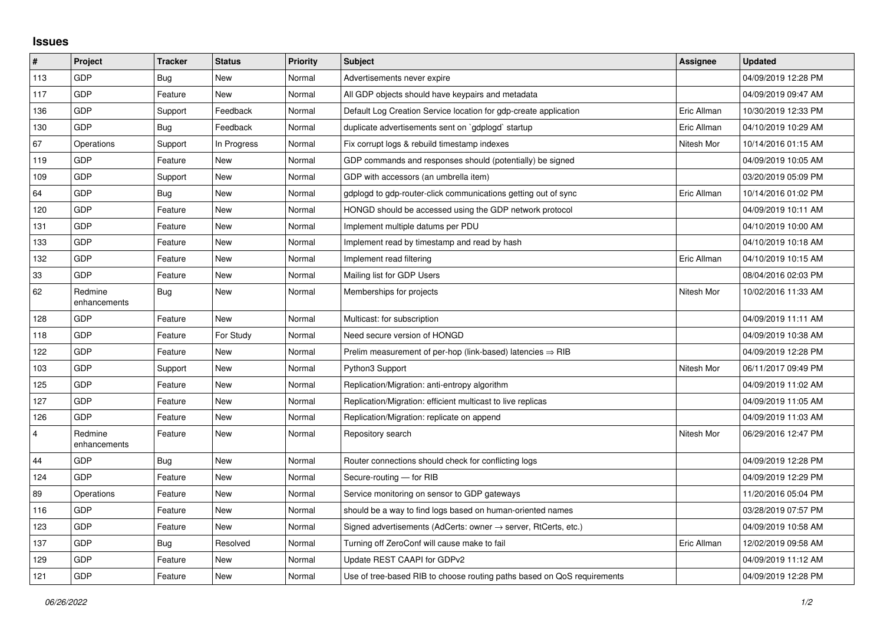## **Issues**

| #              | Project                 | <b>Tracker</b> | <b>Status</b> | <b>Priority</b> | <b>Subject</b>                                                             | Assignee    | <b>Updated</b>      |
|----------------|-------------------------|----------------|---------------|-----------------|----------------------------------------------------------------------------|-------------|---------------------|
| 113            | <b>GDP</b>              | Bug            | <b>New</b>    | Normal          | Advertisements never expire                                                |             | 04/09/2019 12:28 PM |
| 117            | GDP                     | Feature        | <b>New</b>    | Normal          | All GDP objects should have keypairs and metadata                          |             | 04/09/2019 09:47 AM |
| 136            | GDP                     | Support        | Feedback      | Normal          | Default Log Creation Service location for gdp-create application           | Eric Allman | 10/30/2019 12:33 PM |
| 130            | GDP                     | <b>Bug</b>     | Feedback      | Normal          | duplicate advertisements sent on `gdplogd` startup                         | Eric Allman | 04/10/2019 10:29 AM |
| 67             | Operations              | Support        | In Progress   | Normal          | Fix corrupt logs & rebuild timestamp indexes                               | Nitesh Mor  | 10/14/2016 01:15 AM |
| 119            | GDP                     | Feature        | <b>New</b>    | Normal          | GDP commands and responses should (potentially) be signed                  |             | 04/09/2019 10:05 AM |
| 109            | GDP                     | Support        | New           | Normal          | GDP with accessors (an umbrella item)                                      |             | 03/20/2019 05:09 PM |
| 64             | GDP                     | Bug            | <b>New</b>    | Normal          | gdplogd to gdp-router-click communications getting out of sync             | Eric Allman | 10/14/2016 01:02 PM |
| 120            | GDP                     | Feature        | <b>New</b>    | Normal          | HONGD should be accessed using the GDP network protocol                    |             | 04/09/2019 10:11 AM |
| 131            | GDP                     | Feature        | <b>New</b>    | Normal          | Implement multiple datums per PDU                                          |             | 04/10/2019 10:00 AM |
| 133            | GDP                     | Feature        | <b>New</b>    | Normal          | Implement read by timestamp and read by hash                               |             | 04/10/2019 10:18 AM |
| 132            | GDP                     | Feature        | New           | Normal          | Implement read filtering                                                   | Eric Allman | 04/10/2019 10:15 AM |
| 33             | GDP                     | Feature        | <b>New</b>    | Normal          | Mailing list for GDP Users                                                 |             | 08/04/2016 02:03 PM |
| 62             | Redmine<br>enhancements | <b>Bug</b>     | <b>New</b>    | Normal          | Memberships for projects                                                   | Nitesh Mor  | 10/02/2016 11:33 AM |
| 128            | GDP                     | Feature        | <b>New</b>    | Normal          | Multicast: for subscription                                                |             | 04/09/2019 11:11 AM |
| 118            | GDP                     | Feature        | For Study     | Normal          | Need secure version of HONGD                                               |             | 04/09/2019 10:38 AM |
| 122            | GDP                     | Feature        | New           | Normal          | Prelim measurement of per-hop (link-based) latencies $\Rightarrow$ RIB     |             | 04/09/2019 12:28 PM |
| 103            | GDP                     | Support        | <b>New</b>    | Normal          | Python3 Support                                                            | Nitesh Mor  | 06/11/2017 09:49 PM |
| 125            | GDP                     | Feature        | <b>New</b>    | Normal          | Replication/Migration: anti-entropy algorithm                              |             | 04/09/2019 11:02 AM |
| 127            | GDP                     | Feature        | New           | Normal          | Replication/Migration: efficient multicast to live replicas                |             | 04/09/2019 11:05 AM |
| 126            | GDP                     | Feature        | <b>New</b>    | Normal          | Replication/Migration: replicate on append                                 |             | 04/09/2019 11:03 AM |
| $\overline{4}$ | Redmine<br>enhancements | Feature        | <b>New</b>    | Normal          | Repository search                                                          | Nitesh Mor  | 06/29/2016 12:47 PM |
| 44             | GDP                     | Bug            | <b>New</b>    | Normal          | Router connections should check for conflicting logs                       |             | 04/09/2019 12:28 PM |
| 124            | GDP                     | Feature        | <b>New</b>    | Normal          | Secure-routing - for RIB                                                   |             | 04/09/2019 12:29 PM |
| 89             | Operations              | Feature        | <b>New</b>    | Normal          | Service monitoring on sensor to GDP gateways                               |             | 11/20/2016 05:04 PM |
| 116            | GDP                     | Feature        | <b>New</b>    | Normal          | should be a way to find logs based on human-oriented names                 |             | 03/28/2019 07:57 PM |
| 123            | GDP                     | Feature        | <b>New</b>    | Normal          | Signed advertisements (AdCerts: owner $\rightarrow$ server, RtCerts, etc.) |             | 04/09/2019 10:58 AM |
| 137            | GDP                     | Bug            | Resolved      | Normal          | Turning off ZeroConf will cause make to fail                               | Eric Allman | 12/02/2019 09:58 AM |
| 129            | GDP                     | Feature        | <b>New</b>    | Normal          | Update REST CAAPI for GDPv2                                                |             | 04/09/2019 11:12 AM |
| 121            | GDP                     | Feature        | New           | Normal          | Use of tree-based RIB to choose routing paths based on QoS requirements    |             | 04/09/2019 12:28 PM |